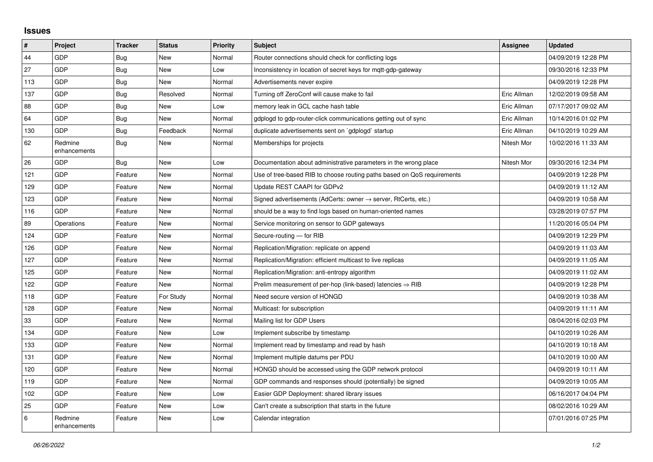## **Issues**

| $\vert$ # | Project                 | <b>Tracker</b> | <b>Status</b> | Priority | <b>Subject</b>                                                             | Assignee    | <b>Updated</b>      |
|-----------|-------------------------|----------------|---------------|----------|----------------------------------------------------------------------------|-------------|---------------------|
| 44        | <b>GDP</b>              | Bug            | <b>New</b>    | Normal   | Router connections should check for conflicting logs                       |             | 04/09/2019 12:28 PM |
| 27        | <b>GDP</b>              | Bug            | <b>New</b>    | Low      | Inconsistency in location of secret keys for mgtt-gdp-gateway              |             | 09/30/2016 12:33 PM |
| 113       | <b>GDP</b>              | <b>Bug</b>     | <b>New</b>    | Normal   | Advertisements never expire                                                |             | 04/09/2019 12:28 PM |
| 137       | <b>GDP</b>              | Bug            | Resolved      | Normal   | Turning off ZeroConf will cause make to fail                               | Eric Allman | 12/02/2019 09:58 AM |
| 88        | <b>GDP</b>              | Bug            | New           | Low      | memory leak in GCL cache hash table                                        | Eric Allman | 07/17/2017 09:02 AM |
| 64        | <b>GDP</b>              | Bug            | <b>New</b>    | Normal   | gdplogd to gdp-router-click communications getting out of sync             | Eric Allman | 10/14/2016 01:02 PM |
| 130       | <b>GDP</b>              | <b>Bug</b>     | Feedback      | Normal   | duplicate advertisements sent on `gdplogd` startup                         | Eric Allman | 04/10/2019 10:29 AM |
| 62        | Redmine<br>enhancements | Bug            | <b>New</b>    | Normal   | Memberships for projects                                                   | Nitesh Mor  | 10/02/2016 11:33 AM |
| 26        | <b>GDP</b>              | Bug            | <b>New</b>    | Low      | Documentation about administrative parameters in the wrong place           | Nitesh Mor  | 09/30/2016 12:34 PM |
| 121       | <b>GDP</b>              | Feature        | <b>New</b>    | Normal   | Use of tree-based RIB to choose routing paths based on QoS requirements    |             | 04/09/2019 12:28 PM |
| 129       | <b>GDP</b>              | Feature        | <b>New</b>    | Normal   | Update REST CAAPI for GDPv2                                                |             | 04/09/2019 11:12 AM |
| 123       | <b>GDP</b>              | Feature        | <b>New</b>    | Normal   | Signed advertisements (AdCerts: owner $\rightarrow$ server, RtCerts, etc.) |             | 04/09/2019 10:58 AM |
| 116       | <b>GDP</b>              | Feature        | <b>New</b>    | Normal   | should be a way to find logs based on human-oriented names                 |             | 03/28/2019 07:57 PM |
| 89        | Operations              | Feature        | <b>New</b>    | Normal   | Service monitoring on sensor to GDP gateways                               |             | 11/20/2016 05:04 PM |
| 124       | GDP                     | Feature        | <b>New</b>    | Normal   | Secure-routing - for RIB                                                   |             | 04/09/2019 12:29 PM |
| 126       | <b>GDP</b>              | Feature        | <b>New</b>    | Normal   | Replication/Migration: replicate on append                                 |             | 04/09/2019 11:03 AM |
| 127       | <b>GDP</b>              | Feature        | <b>New</b>    | Normal   | Replication/Migration: efficient multicast to live replicas                |             | 04/09/2019 11:05 AM |
| 125       | <b>GDP</b>              | Feature        | <b>New</b>    | Normal   | Replication/Migration: anti-entropy algorithm                              |             | 04/09/2019 11:02 AM |
| 122       | <b>GDP</b>              | Feature        | <b>New</b>    | Normal   | Prelim measurement of per-hop (link-based) latencies $\Rightarrow$ RIB     |             | 04/09/2019 12:28 PM |
| 118       | <b>GDP</b>              | Feature        | For Study     | Normal   | Need secure version of HONGD                                               |             | 04/09/2019 10:38 AM |
| 128       | <b>GDP</b>              | Feature        | <b>New</b>    | Normal   | Multicast: for subscription                                                |             | 04/09/2019 11:11 AM |
| 33        | <b>GDP</b>              | Feature        | <b>New</b>    | Normal   | Mailing list for GDP Users                                                 |             | 08/04/2016 02:03 PM |
| 134       | <b>GDP</b>              | Feature        | <b>New</b>    | Low      | Implement subscribe by timestamp                                           |             | 04/10/2019 10:26 AM |
| 133       | <b>GDP</b>              | Feature        | <b>New</b>    | Normal   | Implement read by timestamp and read by hash                               |             | 04/10/2019 10:18 AM |
| 131       | <b>GDP</b>              | Feature        | <b>New</b>    | Normal   | Implement multiple datums per PDU                                          |             | 04/10/2019 10:00 AM |
| 120       | <b>GDP</b>              | Feature        | <b>New</b>    | Normal   | HONGD should be accessed using the GDP network protocol                    |             | 04/09/2019 10:11 AM |
| 119       | <b>GDP</b>              | Feature        | New           | Normal   | GDP commands and responses should (potentially) be signed                  |             | 04/09/2019 10:05 AM |
| 102       | <b>GDP</b>              | Feature        | <b>New</b>    | Low      | Easier GDP Deployment: shared library issues                               |             | 06/16/2017 04:04 PM |
| 25        | <b>GDP</b>              | Feature        | <b>New</b>    | Low      | Can't create a subscription that starts in the future                      |             | 08/02/2016 10:29 AM |
| 6         | Redmine<br>enhancements | Feature        | <b>New</b>    | Low      | Calendar integration                                                       |             | 07/01/2016 07:25 PM |